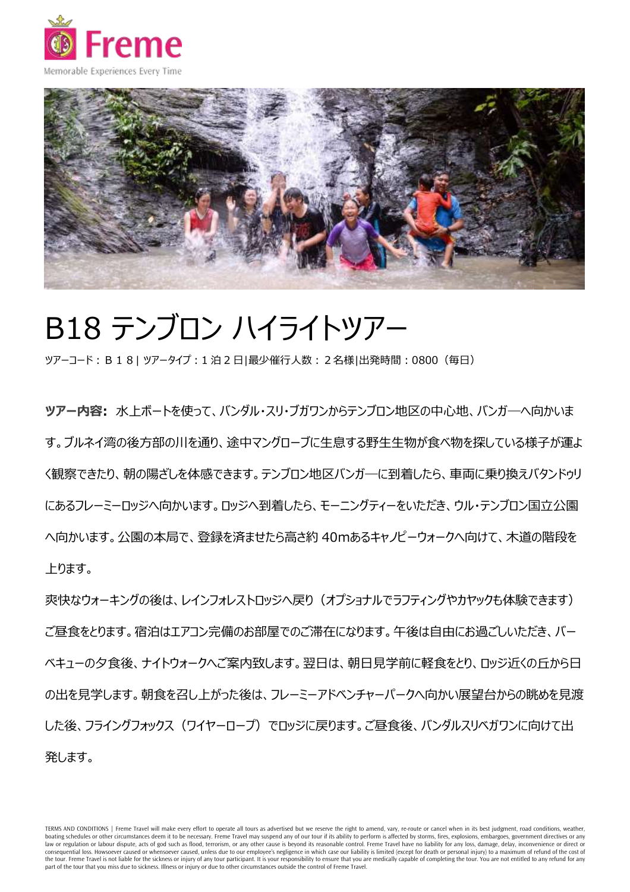



## B18 テンブロン ハイライトツアー

ツアーコード:B18| ツアータイプ:1 泊 2 日|最少催行人数:2名様|出発時間:0800(毎日)

**ツアー内容:** 水上ボートを使って、バンダル・スリ・ブガワンからテンブロン地区の中心地、バンガ―へ向かいま す。ブルネイ湾の後方部の川を通り、途中マングローブに生息する野生生物が食べ物を探している様子が運よ く観察できたり、朝の陽ざしを体感できます。テンブロン地区バンガ―に到着したら、車両に乗り換えバタンドゥリ にあるフレーミーロッジへ向かいます。ロッジへ到着したら、モーニングティーをいただき、ウル・テンブロン国立公園 へ向かいます。公園の本局で、登録を済ませたら高さ約 40mあるキャノピーウォークへ向けて、木道の階段を 上ります。

爽快なウォーキングの後は、レインフォレストロッジへ戻り(オプショナルでラフティングやカヤックも体験できます) ご昼食をとります。宿泊はエアコン完備のお部屋でのご滞在になります。午後は自由にお過ごしいただき、バー ベキューの夕食後、ナイトウォークへご案内致します。翌日は、朝日見学前に軽食をとり、ロッジ近くの丘から日 の出を見学します。朝食を召し上がった後は、フレーミーアドベンチャーパークへ向かい展望台からの眺めを見渡 した後、フライングフォックス(ワイヤーロープ)でロッジに戻ります。ご昼食後、バンダルスリベガワンに向けて出 発します。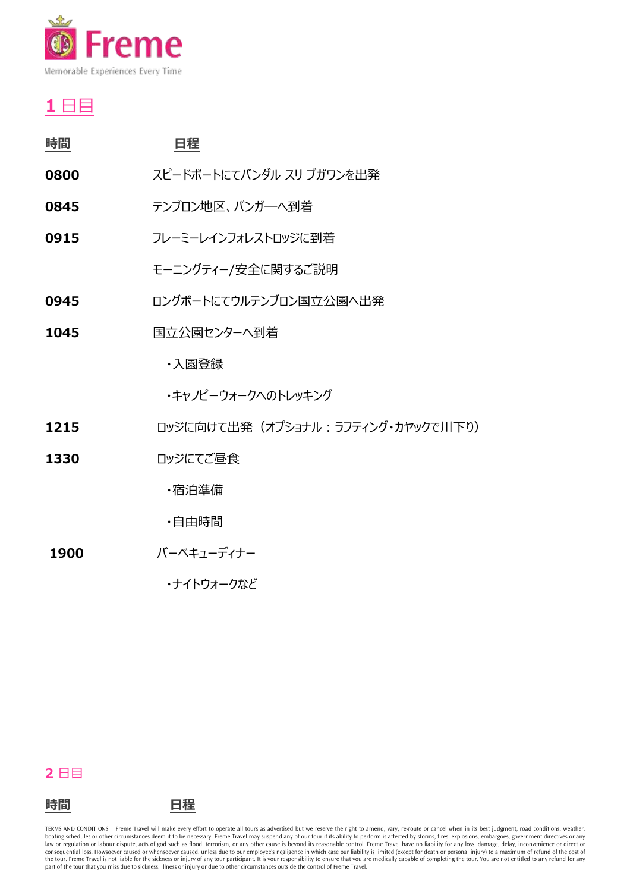

## **1** 日目

| 時間   | 日程                       |
|------|--------------------------|
| 0800 | スピードボートにてバンダル スリ ブガワンを出発 |
| 0845 | テンブロン地区、バンガーへ到着          |
| 0915 | フレーミーレインフォレストロッジに到着      |
|      | モーニングティー/安全に関するご説明       |
| 0945 | ロングボートにてウルテンブロン国立公園へ出発   |
| 1045 | 国立公園センターへ到着              |
|      | ・入園登録                    |

- ・キャノピーウォークへのトレッキング
- 1215 ロッジに向けて出発 (オプショナル: ラフティング・カヤックで川下り)
- 1330 ロッジにてご昼食

・宿泊準備

- ・自由時間
- **1900** バーベキューディナー

・ナイトウォークなど

## **2** 日目



TERMS AND CONDITIONS | Freme Travel will make every effort to operate all tours as advertised but we reserve the right to amend, vary, re-route or cancel when in its best judgment, road conditions, weather, boating schedules or other circumstances deem it to be necessary. Freme Travel may suspend any of our tour if its ability to perform is affected by storms, fires, explosions, embargoes, government directives or any and a r consequential loss. Howsoever caused or whensoever caused, unless due to our employee's negligence in which case our liability is limited (except for death or personal injury) to a maximum of refund of the cost of<br>the tour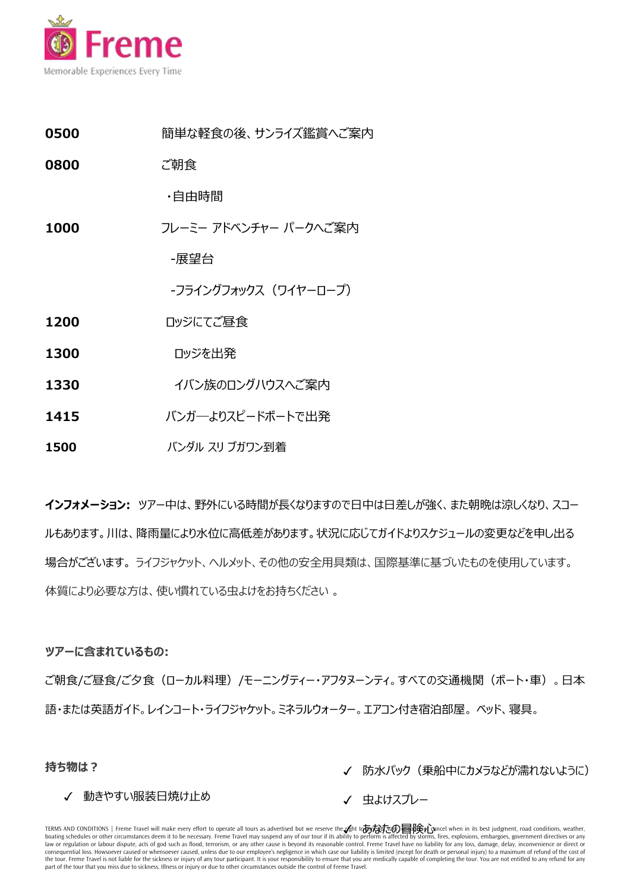

- **0500 簡単な軽食の後、サンライズ鑑賞へご案内**
- **0800** ご朝食

・自由時間

**1000** フレーミー アドベンチャー パークへご案内

-展望台

-フライングフォックス(ワイヤーロープ)

- **1200 ロッジにてご昼食**
- **1300 ロッジを出発**
- **1330** イバン族のロングハウスへご案内
- **1415** バンガ―よりスピードボートで出発
- **1500** バンダル スリ ブガワン到着

**インフォメーション:** ツアー中は、野外にいる時間が長くなりますので日中は日差しが強く、また朝晩は涼しくなり、スコー ルもあります。川は、降雨量により水位に高低差があります。状況に応じてガイドよりスケジュールの変更などを申し出る 場合がございます。 ライフジャケット、ヘルメット、その他の安全用具類は、国際基準に基づいたものを使用しています。 体質により必要な方は、使い慣れている虫よけをお持ちください 。

## **ツアーに含まれているもの:**

ご朝食/ご昼食/ご夕食(ローカル料理)/モーニングティー・アフタヌーンティ。すべての交通機関(ボート・車)。日本 語・または英語ガイド。レインコート・ライフジャケット。ミネラルウォーター。エアコン付き宿泊部屋。 ベッド、寝具。

**持ち物は?**

✓ 防水パック(乗船中にカメラなどが濡れないように)

√ 動きやすい服装日焼け止め

✓ 虫よけスプレー

TERMS AND CONDITIONS | Freme Travel will make every effort to operate all tours as advertised but we reserve the to办办议了④冒险心ncel when in its best judgment, road conditions, weather, boating schedules or other circumstances deem it to be necessary. Freme Travel may suspend any of our tour if its ability to perform is affected by storms, fires, explosions, embargoes, government directives or any law or regulation or labour dispute, acts of god such as flood, terrorism, or any other cause is beyond its reasonable control. Freme Travel have no liability for any loss, damage, delay, inconvenience or direct or consequential loss. Howsoever caused or whensoever caused, unless due to our employee's negligence in which case our liability is limited (except for death or personal injury) to a maximum of refund of the cost of the tour. Freme Travel is not liable for the sickness or injury of any tour participant. It is your responsibility to ensure that you are medically capable of completing the tour. You are not entitled to any refund for any part of the tour that you miss due to sickness. Illness or injury or due to other circumstances outside the control of Freme Travel.